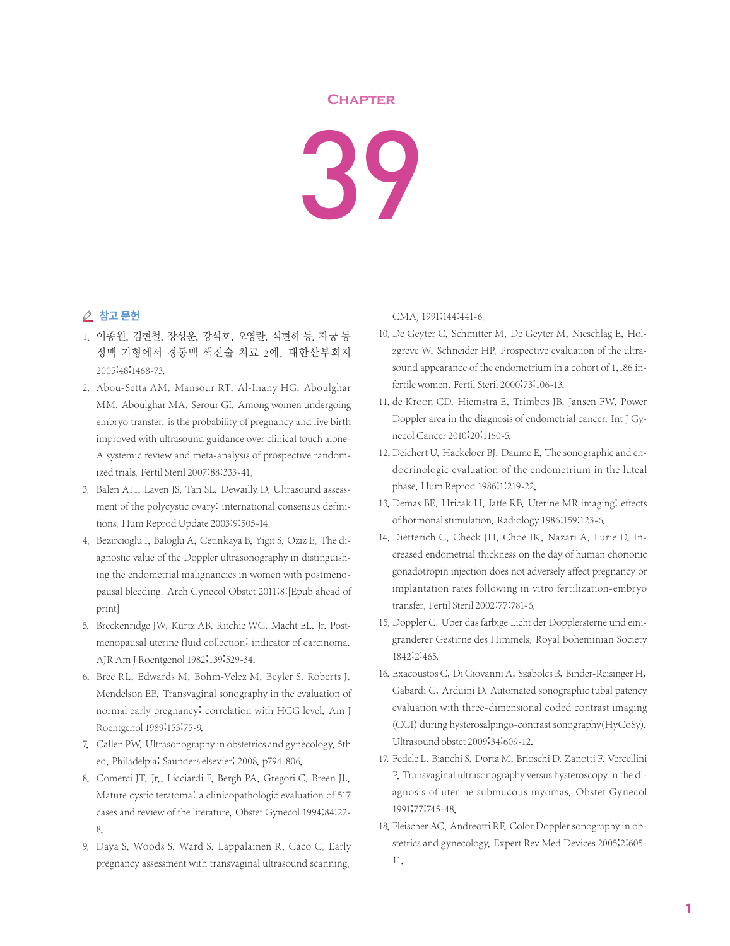## **Chapter**

39

## △ 참고 문헌

- 1. 이종원, 김현철, 장성운, 강석호, 오영란, 석현하 등. 자궁 동 정맥 기형에서 경동맥 색전술 치료 2예. 대한산부회지 2005;48:1468-73.
- 2. Abou-Setta AM, Mansour RT, Al-Inany HG, Aboulghar MM, Aboulghar MA, Serour GI. Among women undergoing embryo transfer, is the probability of pregnancy and live birth improved with ultrasound guidance over clinical touch alone-A systemic review and meta-analysis of prospective randomized trials. Fertil Steril 2007;88:333-41.
- 3. Balen AH, Laven JS, Tan SL, Dewailly D. Ultrasound assessment of the polycystic ovary: international consensus definitions. Hum Reprod Update 2003;9:505-14.
- 4. Bezircioglu I, Baloglu A, Cetinkaya B, Yigit S, Oziz E. The diagnostic value of the Doppler ultrasonography in distinguishing the endometrial malignancies in women with postmenopausal bleeding. Arch Gynecol Obstet 2011;8:[Epub ahead of print]
- 5. Breckenridge JW, Kurtz AB, Ritchie WG, Macht EL, Jr. Postmenopausal uterine fluid collection: indicator of carcinoma. AJR Am J Roentgenol 1982;139:529-34.
- 6. Bree RL, Edwards M, Bohm-Velez M, Beyler S, Roberts J, Mendelson EB. Transvaginal sonography in the evaluation of normal early pregnancy: correlation with HCG level. Am J Roentgenol 1989;153:75-9.
- 7. Callen PW. Ultrasonography in obstetrics and gynecology. 5th ed. Philadelpia: Saunders elsevier; 2008. p794-806.
- 8. Comerci JT, Jr., Licciardi F, Bergh PA, Gregori C, Breen JL. Mature cystic teratoma: a clinicopathologic evaluation of 517 cases and review of the literature. Obstet Gynecol 1994;84:22- 8.
- 9. Daya S, Woods S, Ward S, Lappalainen R, Caco C. Early pregnancy assessment with transvaginal ultrasound scanning.

CMAJ 1991;144:441-6.

- 10. De Geyter C, Schmitter M, De Geyter M, Nieschlag E, Holzgreve W, Schneider HP. Prospective evaluation of the ultrasound appearance of the endometrium in a cohort of 1,186 infertile women. Fertil Steril 2000;73:106-13.
- 11. de Kroon CD, Hiemstra E, Trimbos JB, Jansen FW. Power Doppler area in the diagnosis of endometrial cancer. Int J Gynecol Cancer 2010;20:1160-5.
- 12. Deichert U, Hackeloer BJ, Daume E. The sonographic and endocrinologic evaluation of the endometrium in the luteal phase. Hum Reprod 1986;1:219-22.
- 13. Demas BE, Hricak H, Jaffe RB. Uterine MR imaging: effects of hormonal stimulation. Radiology 1986;159:123-6.
- 14. Dietterich C, Check JH, Choe JK, Nazari A, Lurie D. Increased endometrial thickness on the day of human chorionic gonadotropin injection does not adversely affect pregnancy or implantation rates following in vitro fertilization-embryo transfer. Fertil Steril 2002;77:781-6.
- 15. Doppler C. Uber das farbige Licht der Dopplersterne und einigranderer Gestirne des Himmels. Royal Boheminian Society 1842;2:465.
- 16. Exacoustos C, Di Giovanni A, Szabolcs B, Binder-Reisinger H, Gabardi C, Arduini D. Automated sonographic tubal patency evaluation with three-dimensional coded contrast imaging (CCI) during hysterosalpingo-contrast sonography(HyCoSy). Ultrasound obstet 2009;34:609-12.
- 17. Fedele L, Bianchi S, Dorta M, Brioschi D, Zanotti F, Vercellini P. Transvaginal ultrasonography versus hysteroscopy in the diagnosis of uterine submucous myomas. Obstet Gynecol 1991;77:745-48.
- 18. Fleischer AC, Andreotti RF. Color Doppler sonography in obstetrics and gynecology. Expert Rev Med Devices 2005;2:605- 11.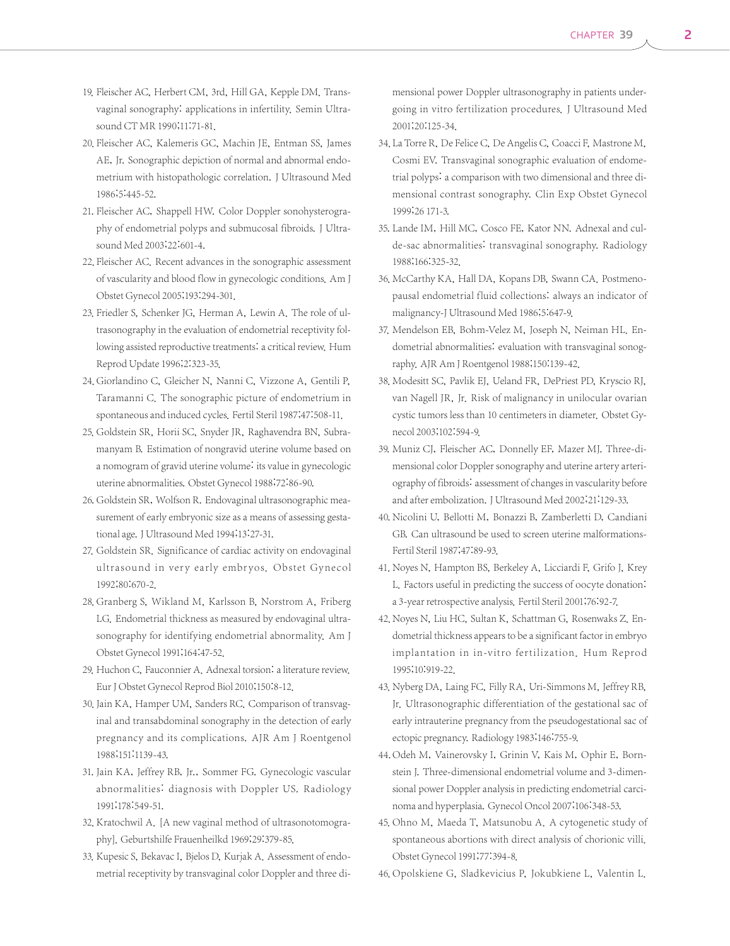- 19. Fleischer AC, Herbert CM, 3rd, Hill GA, Kepple DM. Transvaginal sonography: applications in infertility. Semin Ultrasound CT MR 1990;11:71-81.
- 20. Fleischer AC, Kalemeris GC, Machin JE, Entman SS, James AE, Jr. Sonographic depiction of normal and abnormal endometrium with histopathologic correlation. J Ultrasound Med 1986;5:445-52.
- 21. Fleischer AC, Shappell HW. Color Doppler sonohysterography of endometrial polyps and submucosal fibroids. J Ultrasound Med 2003;22:601-4.
- 22. Fleischer AC. Recent advances in the sonographic assessment of vascularity and blood flow in gynecologic conditions. Am J Obstet Gynecol 2005;193:294-301.
- 23. Friedler S, Schenker JG, Herman A, Lewin A. The role of ultrasonography in the evaluation of endometrial receptivity following assisted reproductive treatments: a critical review. Hum Reprod Update 1996;2:323-35.
- 24. Giorlandino C, Gleicher N, Nanni C, Vizzone A, Gentili P, Taramanni C. The sonographic picture of endometrium in spontaneous and induced cycles. Fertil Steril 1987;47:508-11.
- 25. Goldstein SR, Horii SC, Snyder JR, Raghavendra BN, Subramanyam B. Estimation of nongravid uterine volume based on a nomogram of gravid uterine volume: its value in gynecologic uterine abnormalities. Obstet Gynecol 1988;72:86-90.
- 26. Goldstein SR, Wolfson R. Endovaginal ultrasonographic measurement of early embryonic size as a means of assessing gestational age. J Ultrasound Med 1994;13:27-31.
- 27. Goldstein SR. Significance of cardiac activity on endovaginal ultrasound in very early embryos. Obstet Gynecol 1992;80:670-2.
- 28. Granberg S, Wikland M, Karlsson B, Norstrom A, Friberg LG. Endometrial thickness as measured by endovaginal ultrasonography for identifying endometrial abnormality. Am J Obstet Gynecol 1991;164:47-52.
- 29. Huchon C, Fauconnier A. Adnexal torsion: a literature review. Eur J Obstet Gynecol Reprod Biol 2010;150:8-12.
- 30. Jain KA, Hamper UM, Sanders RC. Comparison of transvaginal and transabdominal sonography in the detection of early pregnancy and its complications. AJR Am J Roentgenol 1988;151:1139-43.
- 31. Jain KA, Jeffrey RB, Jr., Sommer FG. Gynecologic vascular abnormalities: diagnosis with Doppler US. Radiology 1991;178:549-51.
- 32. Kratochwil A. [A new vaginal method of ultrasonotomography]. Geburtshilfe Frauenheilkd 1969;29:379-85.
- 33. Kupesic S, Bekavac I, Bjelos D, Kurjak A. Assessment of endometrial receptivity by transvaginal color Doppler and three di-

mensional power Doppler ultrasonography in patients undergoing in vitro fertilization procedures. J Ultrasound Med 2001;20:125-34.

- 34. La Torre R, De Felice C, De Angelis C, Coacci F, Mastrone M, Cosmi EV. Transvaginal sonographic evaluation of endometrial polyps: a comparison with two dimensional and three dimensional contrast sonography. Clin Exp Obstet Gynecol 1999;26 171-3.
- 35. Lande IM, Hill MC, Cosco FE, Kator NN. Adnexal and culde-sac abnormalities: transvaginal sonography. Radiology 1988;166:325-32.
- 36. McCarthy KA, Hall DA, Kopans DB, Swann CA. Postmenopausal endometrial fluid collections: always an indicator of malignancy-J Ultrasound Med 1986;5:647-9.
- 37. Mendelson EB, Bohm-Velez M, Joseph N, Neiman HL. Endometrial abnormalities: evaluation with transvaginal sonography. AJR Am J Roentgenol 1988;150:139-42.
- 38. Modesitt SC, Pavlik EJ, Ueland FR, DePriest PD, Kryscio RJ, van Nagell JR, Jr. Risk of malignancy in unilocular ovarian cystic tumors less than 10 centimeters in diameter. Obstet Gynecol 2003;102:594-9.
- 39. Muniz CJ, Fleischer AC, Donnelly EF, Mazer MJ. Three-dimensional color Doppler sonography and uterine artery arteriography of fibroids: assessment of changes in vascularity before and after embolization. J Ultrasound Med 2002;21:129-33.
- 40. Nicolini U, Bellotti M, Bonazzi B, Zamberletti D, Candiani GB. Can ultrasound be used to screen uterine malformations-Fertil Steril 1987;47:89-93.
- 41. Noyes N, Hampton BS, Berkeley A, Licciardi F, Grifo J, Krey L. Factors useful in predicting the success of oocyte donation: a 3-year retrospective analysis. Fertil Steril 2001;76:92-7.
- 42. Noyes N, Liu HC, Sultan K, Schattman G, Rosenwaks Z. Endometrial thickness appears to be a significant factor in embryo implantation in in-vitro fertilization. Hum Reprod 1995;10:919-22.
- 43. Nyberg DA, Laing FC, Filly RA, Uri-Simmons M, Jeffrey RB, Jr. Ultrasonographic differentiation of the gestational sac of early intrauterine pregnancy from the pseudogestational sac of ectopic pregnancy. Radiology 1983;146:755-9.
- 44. Odeh M, Vainerovsky I, Grinin V, Kais M, Ophir E, Bornstein J. Three-dimensional endometrial volume and 3-dimensional power Doppler analysis in predicting endometrial carcinoma and hyperplasia. Gynecol Oncol 2007;106:348-53.
- 45. Ohno M, Maeda T, Matsunobu A. A cytogenetic study of spontaneous abortions with direct analysis of chorionic villi. Obstet Gynecol 1991;77:394-8.

46. Opolskiene G, Sladkevicius P, Jokubkiene L, Valentin L.